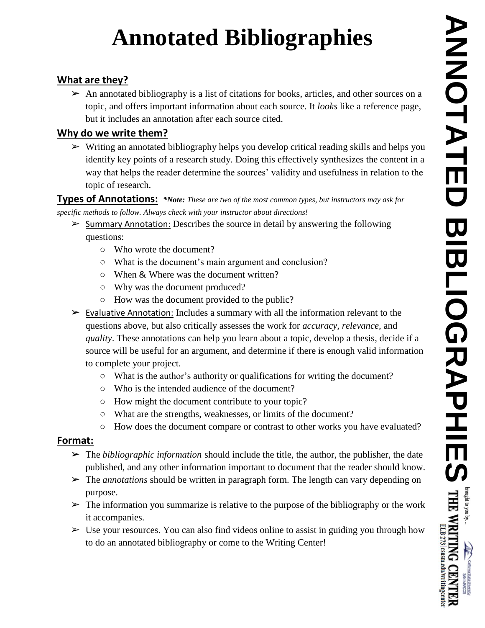# **Annotated Bibliographies**

#### **What are they?**

 $\triangleright$  An annotated bibliography is a list of citations for books, articles, and other sources on a topic, and offers important information about each source. It *looks* like a reference page, but it includes an annotation after each source cited.

#### **Why do we write them?**

➢ Writing an annotated bibliography helps you develop critical reading skills and helps you identify key points of a research study. Doing this effectively synthesizes the content in a way that helps the reader determine the sources' validity and usefulness in relation to the topic of research.

**Types of Annotations:** *\*Note: These are two of the most common types, but instructors may ask for specific methods to follow. Always check with your instructor about directions!*

- $\triangleright$  Summary Annotation: Describes the source in detail by answering the following questions:
	- Who wrote the document?
	- What is the document's main argument and conclusion?
	- When & Where was the document written?
	- Why was the document produced?
	- How was the document provided to the public?
- $\triangleright$  Evaluative Annotation: Includes a summary with all the information relevant to the questions above, but also critically assesses the work for *accuracy, relevance,* and *quality*. These annotations can help you learn about a topic, develop a thesis, decide if a source will be useful for an argument, and determine if there is enough valid information to complete your project.
	- What is the author's authority or qualifications for writing the document?
	- Who is the intended audience of the document?
	- How might the document contribute to your topic?
	- What are the strengths, weaknesses, or limits of the document?
	- How does the document compare or contrast to other works you have evaluated?

#### **Format:**

- ➢ The *bibliographic information* should include the title, the author, the publisher, the date published, and any other information important to document that the reader should know.
- ➢ The *annotations* should be written in paragraph form. The length can vary depending on purpose.
- $\triangleright$  The information you summarize is relative to the purpose of the bibliography or the work it accompanies.
- $\triangleright$  Use your resources. You can also find videos online to assist in guiding you through how to do an annotated bibliography or come to the Writing Center!